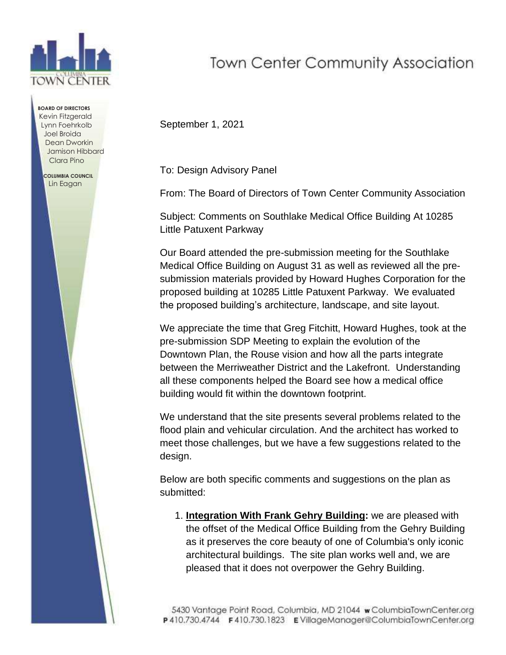

**BOARD OF DIRECTORS** Kevin Fitzgerald Lynn Foehrkolb Joel Broida Dean Dworkin Jamison Hibbard Clara Pino

 **COLUMBIA COUNCIL** Lin Eagan

## **Town Center Community Association**

September 1, 2021

To: Design Advisory Panel

From: The Board of Directors of Town Center Community Association

Subject: Comments on Southlake Medical Office Building At 10285 Little Patuxent Parkway

Our Board attended the pre-submission meeting for the Southlake Medical Office Building on August 31 as well as reviewed all the presubmission materials provided by Howard Hughes Corporation for the proposed building at 10285 Little Patuxent Parkway. We evaluated the proposed building's architecture, landscape, and site layout.

We appreciate the time that Greg Fitchitt, Howard Hughes, took at the pre-submission SDP Meeting to explain the evolution of the Downtown Plan, the Rouse vision and how all the parts integrate between the Merriweather District and the Lakefront. Understanding all these components helped the Board see how a medical office building would fit within the downtown footprint.

We understand that the site presents several problems related to the flood plain and vehicular circulation. And the architect has worked to meet those challenges, but we have a few suggestions related to the design.

Below are both specific comments and suggestions on the plan as submitted:

1. **Integration With Frank Gehry Building:** we are pleased with the offset of the Medical Office Building from the Gehry Building as it preserves the core beauty of one of Columbia's only iconic architectural buildings. The site plan works well and, we are pleased that it does not overpower the Gehry Building.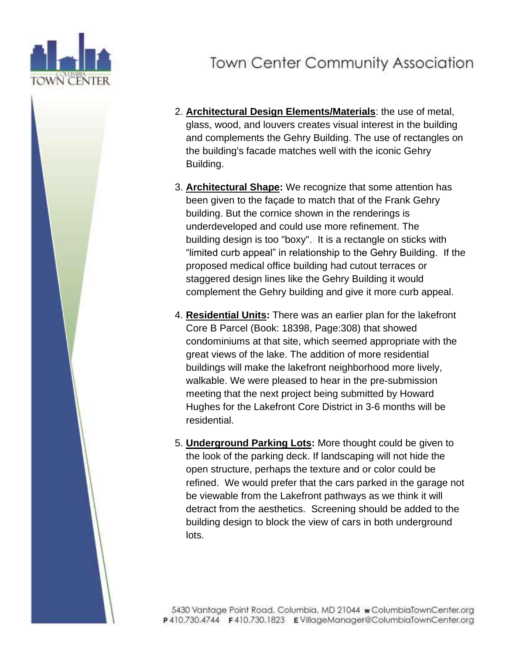

## **Town Center Community Association**

- 2. **Architectural Design Elements/Materials**: the use of metal, glass, wood, and louvers creates visual interest in the building and complements the Gehry Building. The use of rectangles on the building's facade matches well with the iconic Gehry Building.
- 3. **Architectural Shape:** We recognize that some attention has been given to the façade to match that of the Frank Gehry building. But the cornice shown in the renderings is underdeveloped and could use more refinement. The building design is too "boxy". It is a rectangle on sticks with "limited curb appeal" in relationship to the Gehry Building. If the proposed medical office building had cutout terraces or staggered design lines like the Gehry Building it would complement the Gehry building and give it more curb appeal.
- 4. **Residential Units:** There was an earlier plan for the lakefront Core B Parcel (Book: 18398, Page:308) that showed condominiums at that site, which seemed appropriate with the great views of the lake. The addition of more residential buildings will make the lakefront neighborhood more lively, walkable. We were pleased to hear in the pre-submission meeting that the next project being submitted by Howard Hughes for the Lakefront Core District in 3-6 months will be residential.
- 5. **Underground Parking Lots:** More thought could be given to the look of the parking deck. If landscaping will not hide the open structure, perhaps the texture and or color could be refined. We would prefer that the cars parked in the garage not be viewable from the Lakefront pathways as we think it will detract from the aesthetics. Screening should be added to the building design to block the view of cars in both underground lots.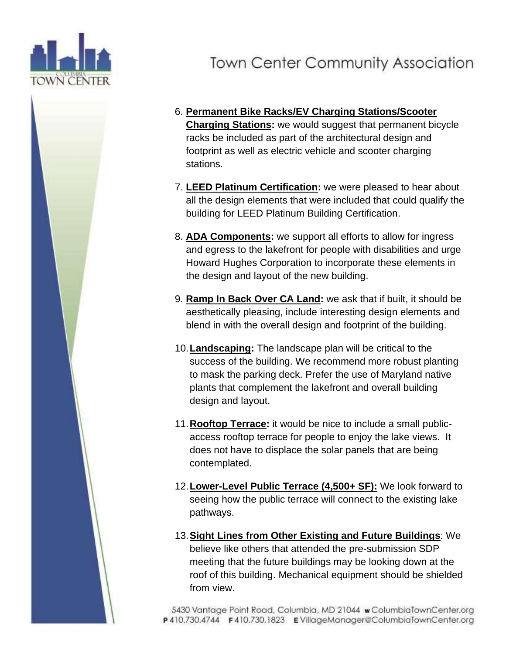

## **Town Center Community Association**

- 6. **Permanent Bike Racks/EV Charging Stations/Scooter Charging Stations:** we would suggest that permanent bicycle racks be included as part of the architectural design and footprint as well as electric vehicle and scooter charging stations.
- 7. **LEED Platinum Certification:** we were pleased to hear about all the design elements that were included that could qualify the building for LEED Platinum Building Certification.
- 8. **ADA Components:** we support all efforts to allow for ingress and egress to the lakefront for people with disabilities and urge Howard Hughes Corporation to incorporate these elements in the design and layout of the new building.
- 9. **Ramp In Back Over CA Land:** we ask that if built, it should be aesthetically pleasing, include interesting design elements and blend in with the overall design and footprint of the building.
- 10.**Landscaping:** The landscape plan will be critical to the success of the building. We recommend more robust planting to mask the parking deck. Prefer the use of Maryland native plants that complement the lakefront and overall building design and layout.
- 11.**Rooftop Terrace:** it would be nice to include a small publicaccess rooftop terrace for people to enjoy the lake views. It does not have to displace the solar panels that are being contemplated.
- 12.**Lower-Level Public Terrace (4,500+ SF):** We look forward to seeing how the public terrace will connect to the existing lake pathways.
- 13.**Sight Lines from Other Existing and Future Buildings**: We believe like others that attended the pre-submission SDP meeting that the future buildings may be looking down at the roof of this building. Mechanical equipment should be shielded from view.

5430 Vantage Point Road, Columbia, MD 21044 w ColumbiaTownCenter.org